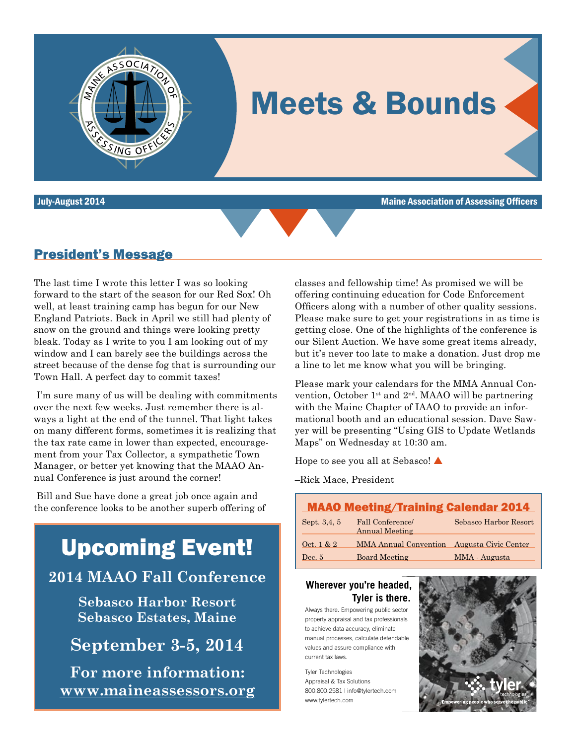

July-August 2014 Maine Association of Assessing Officers



### President's Message

The last time I wrote this letter I was so looking forward to the start of the season for our Red Sox! Oh well, at least training camp has begun for our New England Patriots. Back in April we still had plenty of snow on the ground and things were looking pretty bleak. Today as I write to you I am looking out of my window and I can barely see the buildings across the street because of the dense fog that is surrounding our Town Hall. A perfect day to commit taxes!

 I'm sure many of us will be dealing with commitments over the next few weeks. Just remember there is always a light at the end of the tunnel. That light takes on many different forms, sometimes it is realizing that the tax rate came in lower than expected, encouragement from your Tax Collector, a sympathetic Town Manager, or better yet knowing that the MAAO Annual Conference is just around the corner!

 Bill and Sue have done a great job once again and the conference looks to be another superb offering of

# Upcoming Event!

## **2014 MAAO Fall Conference**

**Sebasco Harbor Resort Sebasco Estates, Maine**

**September 3-5, 2014**

**For more information: www.maineassessors.org** classes and fellowship time! As promised we will be offering continuing education for Code Enforcement Officers along with a number of other quality sessions. Please make sure to get your registrations in as time is getting close. One of the highlights of the conference is our Silent Auction. We have some great items already, but it's never too late to make a donation. Just drop me a line to let me know what you will be bringing.

Please mark your calendars for the MMA Annual Convention, October 1<sup>st</sup> and  $2<sup>nd</sup>$ . MAAO will be partnering with the Maine Chapter of IAAO to provide an informational booth and an educational session. Dave Sawyer will be presenting "Using GIS to Update Wetlands Maps" on Wednesday at 10:30 am.

Hope to see you all at Sebasco!  $\triangle$ 

–Rick Mace, President

### MAAO Meeting/Training Calendar 2014 Sept. 3,4, 5 Fall Conference/ Sebasco Harbor Resort Annual Meeting Oct. 1 & 2 MMA Annual Convention Augusta Civic Center

| <b>Board Meeting</b><br>$\rm Dec.~5$ | MMA - Augusta |
|--------------------------------------|---------------|
|--------------------------------------|---------------|

### **Tyler is there. Wherever you're headed,**

C M Y L. MY u. m. K

Always there. Empowering public sector property appraisal and tax professionals to achieve data accuracy, eliminate manual processes, calculate defendable values and assure compliance with current tax laws.

Tyler Technologies Appraisal & Tax Solutions 800.800.2581 | info@tylertech.com www.tylertech.com

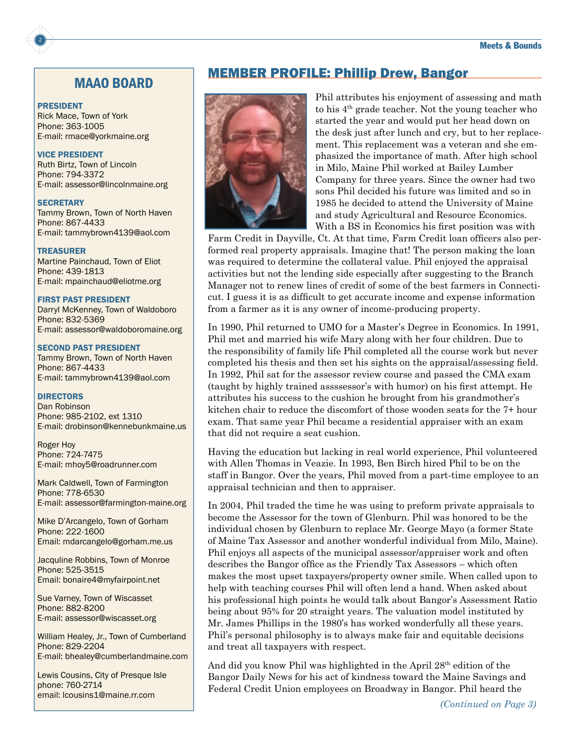### MAAO BOARD

#### PRESIDENT

2

Rick Mace, Town of York Phone: 363-1005 E-mail: rmace@yorkmaine.org

### VICE PRESIDENT

Ruth Birtz, Town of Lincoln Phone: 794-3372 E-mail: assessor@lincolnmaine.org

#### **SECRETARY**

Tammy Brown, Town of North Haven Phone: 867-4433 E-mail: tammybrown4139@aol.com

### TREASURER

Martine Painchaud, Town of Eliot Phone: 439-1813 E-mail: mpainchaud@eliotme.org

### FIRST PAST PRESIDENT

Darryl McKenney, Town of Waldoboro Phone: 832-5369 E-mail: assessor@waldoboromaine.org

#### SECOND PAST PRESIDENT

Tammy Brown, Town of North Haven Phone: 867-4433 E-mail: tammybrown4139@aol.com

### **DIRECTORS**

Dan Robinson Phone: 985-2102, ext 1310 E-mail: drobinson@kennebunkmaine.us

Roger Hoy Phone: 724-7475 E-mail: mhoy5@roadrunner.com

Mark Caldwell, Town of Farmington Phone: 778-6530 E-mail: assessor@farmington-maine.org

Mike D'Arcangelo, Town of Gorham Phone: 222-1600 Email: mdarcangelo@gorham.me.us

Jacquline Robbins, Town of Monroe Phone: 525-3515 Email: bonaire4@myfairpoint.net

Sue Varney, Town of Wiscasset Phone: 882-8200 E-mail: assessor@wiscasset.org

William Healey, Jr., Town of Cumberland Phone: 829-2204 E-mail: bhealey@cumberlandmaine.com

Lewis Cousins, City of Presque Isle phone: 760-2714 email: lcousins1@maine.rr.com

### MEMBER PROFILE: Phillip Drew, Bangor



Phil attributes his enjoyment of assessing and math to his 4th grade teacher. Not the young teacher who started the year and would put her head down on the desk just after lunch and cry, but to her replacement. This replacement was a veteran and she emphasized the importance of math. After high school in Milo, Maine Phil worked at Bailey Lumber Company for three years. Since the owner had two sons Phil decided his future was limited and so in 1985 he decided to attend the University of Maine and study Agricultural and Resource Economics. With a BS in Economics his first position was with

Farm Credit in Dayville, Ct. At that time, Farm Credit loan officers also performed real property appraisals. Imagine that! The person making the loan was required to determine the collateral value. Phil enjoyed the appraisal activities but not the lending side especially after suggesting to the Branch Manager not to renew lines of credit of some of the best farmers in Connecticut. I guess it is as difficult to get accurate income and expense information from a farmer as it is any owner of income-producing property.

In 1990, Phil returned to UMO for a Master's Degree in Economics. In 1991, Phil met and married his wife Mary along with her four children. Due to the responsibility of family life Phil completed all the course work but never completed his thesis and then set his sights on the appraisal/assessing field. In 1992, Phil sat for the assessor review course and passed the CMA exam (taught by highly trained assssessor's with humor) on his first attempt. He attributes his success to the cushion he brought from his grandmother's kitchen chair to reduce the discomfort of those wooden seats for the 7+ hour exam. That same year Phil became a residential appraiser with an exam that did not require a seat cushion.

Having the education but lacking in real world experience, Phil volunteered with Allen Thomas in Veazie. In 1993, Ben Birch hired Phil to be on the staff in Bangor. Over the years, Phil moved from a part-time employee to an appraisal technician and then to appraiser.

In 2004, Phil traded the time he was using to preform private appraisals to become the Assessor for the town of Glenburn. Phil was honored to be the individual chosen by Glenburn to replace Mr. George Mayo (a former State of Maine Tax Assessor and another wonderful individual from Milo, Maine). Phil enjoys all aspects of the municipal assessor/appraiser work and often describes the Bangor office as the Friendly Tax Assessors – which often makes the most upset taxpayers/property owner smile. When called upon to help with teaching courses Phil will often lend a hand. When asked about his professional high points he would talk about Bangor's Assessment Ratio being about 95% for 20 straight years. The valuation model instituted by Mr. James Phillips in the 1980's has worked wonderfully all these years. Phil's personal philosophy is to always make fair and equitable decisions and treat all taxpayers with respect.

And did you know Phil was highlighted in the April 28<sup>th</sup> edition of the Bangor Daily News for his act of kindness toward the Maine Savings and Federal Credit Union employees on Broadway in Bangor. Phil heard the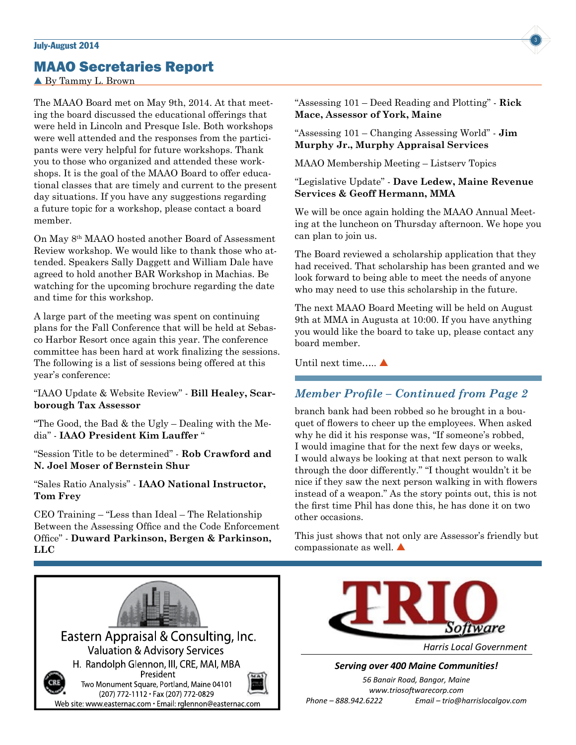## MAAO Secretaries Report

By Tammy L. Brown

The MAAO Board met on May 9th, 2014. At that meeting the board discussed the educational offerings that were held in Lincoln and Presque Isle. Both workshops were well attended and the responses from the participants were very helpful for future workshops. Thank you to those who organized and attended these workshops. It is the goal of the MAAO Board to offer educational classes that are timely and current to the present day situations. If you have any suggestions regarding a future topic for a workshop, please contact a board member.

On May 8th MAAO hosted another Board of Assessment Review workshop. We would like to thank those who attended. Speakers Sally Daggett and William Dale have agreed to hold another BAR Workshop in Machias. Be watching for the upcoming brochure regarding the date and time for this workshop.

A large part of the meeting was spent on continuing plans for the Fall Conference that will be held at Sebasco Harbor Resort once again this year. The conference committee has been hard at work finalizing the sessions. The following is a list of sessions being offered at this year's conference:

"IAAO Update & Website Review" - **Bill Healey, Scarborough Tax Assessor**

"The Good, the Bad  $&$  the Ugly – Dealing with the Media" - **IAAO President Kim Lauffer** "

"Session Title to be determined" - **Rob Crawford and N. Joel Moser of Bernstein Shur**

"Sales Ratio Analysis" - **IAAO National Instructor, Tom Frey**

CEO Training – "Less than Ideal – The Relationship Between the Assessing Office and the Code Enforcement Office" - **Duward Parkinson, Bergen & Parkinson, LLC**





"Assessing 101 – Changing Assessing World" - **Jim Murphy Jr., Murphy Appraisal Services**

MAAO Membership Meeting – Listserv Topics

**Mace, Assessor of York, Maine** 

### "Legislative Update" - **Dave Ledew, Maine Revenue Services & Geoff Hermann, MMA**

We will be once again holding the MAAO Annual Meeting at the luncheon on Thursday afternoon. We hope you can plan to join us.

The Board reviewed a scholarship application that they had received. That scholarship has been granted and we look forward to being able to meet the needs of anyone who may need to use this scholarship in the future.

The next MAAO Board Meeting will be held on August 9th at MMA in Augusta at 10:00. If you have anything you would like the board to take up, please contact any board member.

Until next time.... $\blacktriangle$ 

### *Member Profile – Continued from Page 2*

branch bank had been robbed so he brought in a bouquet of flowers to cheer up the employees. When asked why he did it his response was, "If someone's robbed, I would imagine that for the next few days or weeks, I would always be looking at that next person to walk through the door differently." "I thought wouldn't it be nice if they saw the next person walking in with flowers instead of a weapon." As the story points out, this is not the first time Phil has done this, he has done it on two other occasions.

This just shows that not only are Assessor's friendly but compassionate as well.  $\triangle$ 



*Serving over 400 Maine Communities!*

*56 Banair Road, Bangor, Maine www.triosoftwarecorp.com Phone – 888.942.6222 Email – trio@harrislocalgov.com*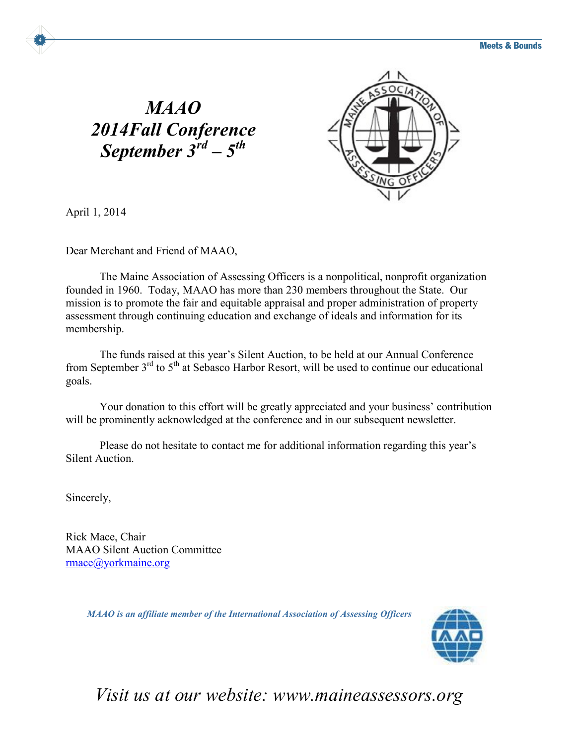## *MAAO 2014Fall Conference September 3rd – 5th*



April 1, 2014

4

Dear Merchant and Friend of MAAO,

The Maine Association of Assessing Officers is a nonpolitical, nonprofit organization founded in 1960. Today, MAAO has more than 230 members throughout the State. Our mission is to promote the fair and equitable appraisal and proper administration of property assessment through continuing education and exchange of ideals and information for its membership.

The funds raised at this year's Silent Auction, to be held at our Annual Conference from September 3<sup>rd</sup> to 5<sup>th</sup> at Sebasco Harbor Resort, will be used to continue our educational goals.

Your donation to this effort will be greatly appreciated and your business' contribution will be prominently acknowledged at the conference and in our subsequent newsletter.

Please do not hesitate to contact me for additional information regarding this year's Silent Auction.

Sincerely,

Rick Mace, Chair MAAO Silent Auction Committee rmace@yorkmaine.org

*MAAO is an affiliate member of the International Association of Assessing Officers*



## *Visit us at our website: www.maineassessors.org*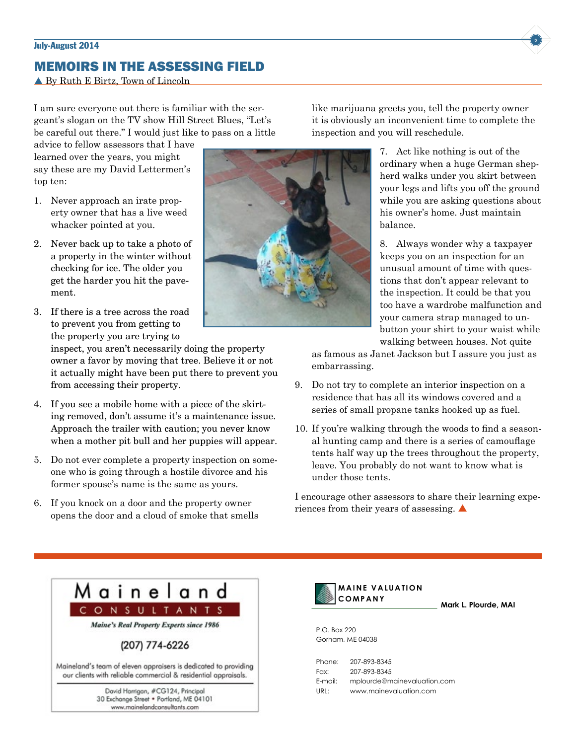### **July-August 2014 5**

## MEMOIRS IN THE ASSESSING FIELD

▲ By Ruth E Birtz, Town of Lincoln

I am sure everyone out there is familiar with the sergeant's slogan on the TV show Hill Street Blues, "Let's be careful out there." I would just like to pass on a little

advice to fellow assessors that I have learned over the years, you might say these are my David Lettermen's top ten:

- 1. Never approach an irate property owner that has a live weed whacker pointed at you.
- 2. Never back up to take a photo of a property in the winter without checking for ice. The older you get the harder you hit the pavement.
- 3. If there is a tree across the road to prevent you from getting to the property you are trying to

inspect, you aren't necessarily doing the property owner a favor by moving that tree. Believe it or not it actually might have been put there to prevent you from accessing their property.

- 4. If you see a mobile home with a piece of the skirting removed, don't assume it's a maintenance issue. Approach the trailer with caution; you never know when a mother pit bull and her puppies will appear.
- 5. Do not ever complete a property inspection on someone who is going through a hostile divorce and his former spouse's name is the same as yours.
- 6. If you knock on a door and the property owner opens the door and a cloud of smoke that smells

like marijuana greets you, tell the property owner it is obviously an inconvenient time to complete the inspection and you will reschedule.

> ordinary when a huge German shepherd walks under you skirt between your legs and lifts you off the ground while you are asking questions about his owner's home. Just maintain balance.

> 8. Always wonder why a taxpayer keeps you on an inspection for an unusual amount of time with questions that don't appear relevant to the inspection. It could be that you too have a wardrobe malfunction and your camera strap managed to unbutton your shirt to your waist while walking between houses. Not quite

> > **Mark L. Plourde, MAI**

as famous as Janet Jackson but I assure you just as embarrassing.

- 9. Do not try to complete an interior inspection on a residence that has all its windows covered and a series of small propane tanks hooked up as fuel.
- 10. If you're walking through the woods to find a seasonal hunting camp and there is a series of camouflage tents half way up the trees throughout the property, leave. You probably do not want to know what is under those tents.

I encourage other assessors to share their learning experiences from their years of assessing.  $\triangle$ 

7. Act like nothing is out of the

Maineland CONSULTANTS **Maine's Real Property Experts since 1986** (207) 774-6226 Maineland's team of eleven appraisers is dedicated to providing our clients with reliable commercial & residential appraisals. David Harrigan, #CG124, Principal 30 Exchange Street . Portland, ME 04101 www.mainelandconsultants.com



P.O. Box 220 Gorham, ME 04038

Phone: 207-893-8345 Fax: 207-893-8345 E-mail: mplourde@mainevaluation.com URL: www.mainevaluation.com



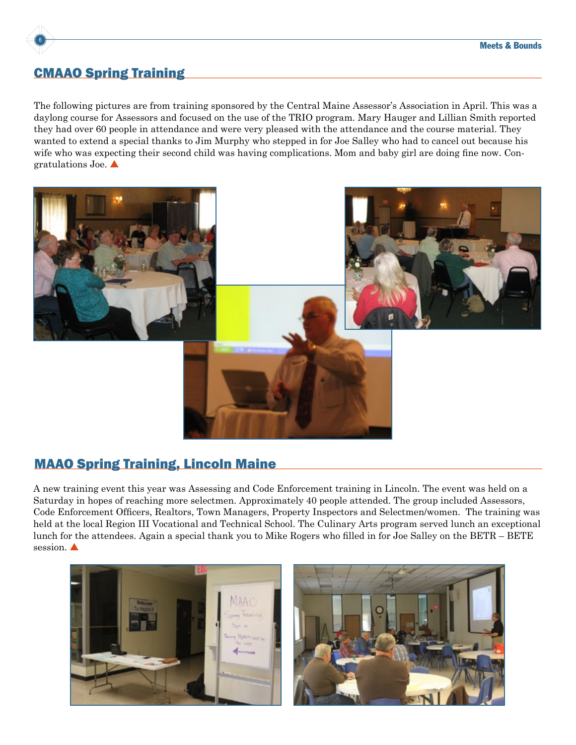

## CMAAO Spring Training

The following pictures are from training sponsored by the Central Maine Assessor's Association in April. This was a daylong course for Assessors and focused on the use of the TRIO program. Mary Hauger and Lillian Smith reported they had over 60 people in attendance and were very pleased with the attendance and the course material. They wanted to extend a special thanks to Jim Murphy who stepped in for Joe Salley who had to cancel out because his wife who was expecting their second child was having complications. Mom and baby girl are doing fine now. Congratulations Joe.  $\blacktriangle$ 



## MAAO Spring Training, Lincoln Maine

A new training event this year was Assessing and Code Enforcement training in Lincoln. The event was held on a Saturday in hopes of reaching more selectmen. Approximately 40 people attended. The group included Assessors, Code Enforcement Officers, Realtors, Town Managers, Property Inspectors and Selectmen/women. The training was held at the local Region III Vocational and Technical School. The Culinary Arts program served lunch an exceptional lunch for the attendees. Again a special thank you to Mike Rogers who filled in for Joe Salley on the BETR – BETE session.

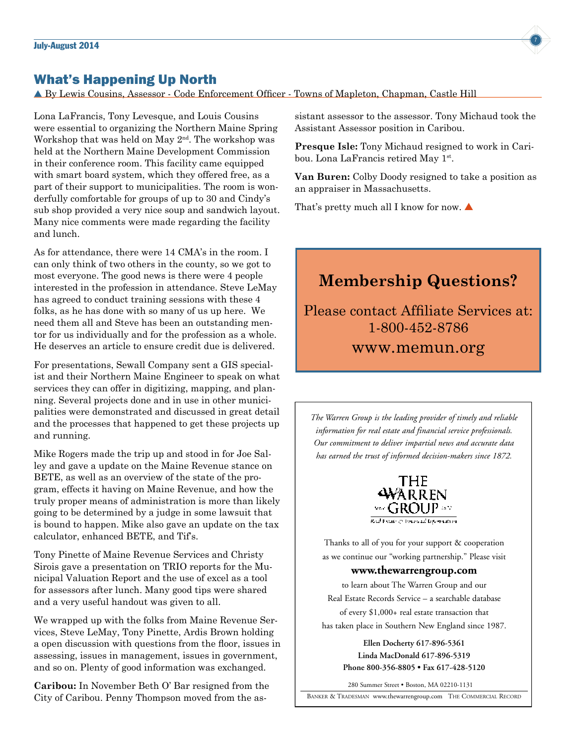### What's Happening Up North

By Lewis Cousins, Assessor - Code Enforcement Officer - Towns of Mapleton, Chapman, Castle Hill

Lona LaFrancis, Tony Levesque, and Louis Cousins were essential to organizing the Northern Maine Spring Workshop that was held on May 2<sup>nd</sup>. The workshop was held at the Northern Maine Development Commission in their conference room. This facility came equipped with smart board system, which they offered free, as a part of their support to municipalities. The room is wonderfully comfortable for groups of up to 30 and Cindy's sub shop provided a very nice soup and sandwich layout. Many nice comments were made regarding the facility and lunch.

As for attendance, there were 14 CMA's in the room. I can only think of two others in the county, so we got to most everyone. The good news is there were 4 people interested in the profession in attendance. Steve LeMay has agreed to conduct training sessions with these 4 folks, as he has done with so many of us up here. We need them all and Steve has been an outstanding mentor for us individually and for the profession as a whole. He deserves an article to ensure credit due is delivered.

For presentations, Sewall Company sent a GIS specialist and their Northern Maine Engineer to speak on what services they can offer in digitizing, mapping, and planning. Several projects done and in use in other municipalities were demonstrated and discussed in great detail and the processes that happened to get these projects up and running.

Mike Rogers made the trip up and stood in for Joe Salley and gave a update on the Maine Revenue stance on BETE, as well as an overview of the state of the program, effects it having on Maine Revenue, and how the truly proper means of administration is more than likely going to be determined by a judge in some lawsuit that is bound to happen. Mike also gave an update on the tax calculator, enhanced BETE, and Tif's.

Tony Pinette of Maine Revenue Services and Christy Sirois gave a presentation on TRIO reports for the Municipal Valuation Report and the use of excel as a tool for assessors after lunch. Many good tips were shared and a very useful handout was given to all.

We wrapped up with the folks from Maine Revenue Services, Steve LeMay, Tony Pinette, Ardis Brown holding a open discussion with questions from the floor, issues in assessing, issues in management, issues in government, and so on. Plenty of good information was exchanged.

**Caribou:** In November Beth O' Bar resigned from the City of Caribou. Penny Thompson moved from the assistant assessor to the assessor. Tony Michaud took the Assistant Assessor position in Caribou.

**Presque Isle:** Tony Michaud resigned to work in Caribou. Lona LaFrancis retired May 1st.

**Van Buren:** Colby Doody resigned to take a position as an appraiser in Massachusetts.

That's pretty much all I know for now.  $\blacktriangle$ 

## **Membership Questions?**

Please contact Affiliate Services at: 1-800-452-8786 www.memun.org

*The Warren Group is the leading provider of timely and reliable information for real estate and financial service professionals. Our commitment to deliver impartial news and accurate data has earned the trust of informed decision-makers since 1872.*



Thanks to all of you for your support & cooperation as we continue our "working partnership." Please visit

### **www.thewarrengroup.com**

to learn about The Warren Group and our Real Estate Records Service – a searchable database of every \$1,000+ real estate transaction that has taken place in Southern New England since 1987.

 **Ellen Docherty • Elizabeth Santos phone 800-356-8805 • fax 617-428-5120 Linda MacDonald 617-896-5319 phone 800-356-8805 • fax 617-428-5120 Phone 800-356-8805 • Fax 617-428-5120 Ellen Docherty 617-896-5361 Ellen Docherty 617-896-5361**

280 Summer Street • Boston, MA 02210-1131

BANKER & TRADESMAN www.thewarrengroup.com THE COMMERCIAL RECORD